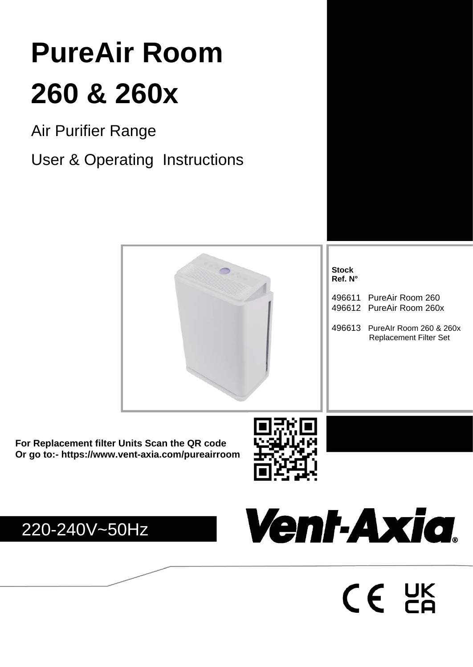# **WARNING 260 & 260x PureAir Room**

Air Durifior Dongo Air Purifier Range in the revised manual with the revised manual with the revised manual with the revised manual without notice; for any changes in the revised manual without notice; for any changes in the revised manual w

User & Operating Instructions



**For Replacement filter Units Scan the QR code Or go to:- <https://www.vent-axia.com/pureairroom>**







 $CE$   $DE$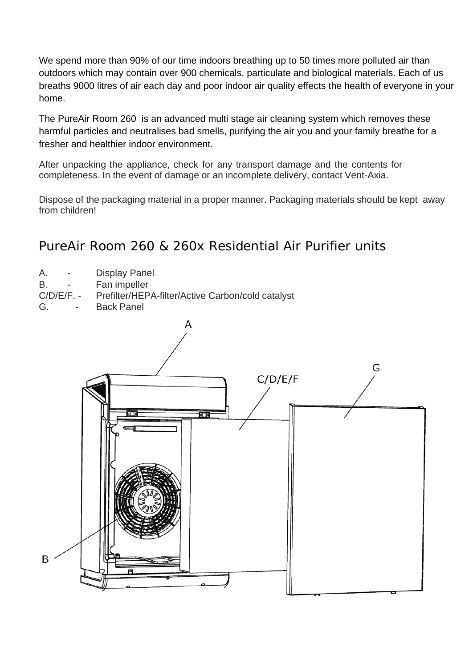We spend more than 90% of our time indoors breathing up to 50 times more polluted air than outdoors which may contain over 900 chemicals, particulate and biological materials. Each of us breaths 9000 litres of air each day and poor indoor air quality effects the health of everyone in your home.

The PureAir Room 260 is an advanced multi stage air cleaning system which removes these harmful particles and neutralises bad smells, purifying the air you and your family breathe for a fresher and healthier indoor environment.

After unpacking the appliance, check for any transport damage and the contents for completeness. In the event of damage or an incomplete delivery, contact Vent-Axia.

Dispose of the packaging material in a proper manner. Packaging materials should be kept away from children!

# PureAir Room 260 & 260x Residential Air Purifier units

A. - Display Panel B. - Fan impeller<br>C/D/E/F. - Prefilter/HEP Prefilter/HEPA-filter/Active Carbon/cold catalyst G. - Back Panel

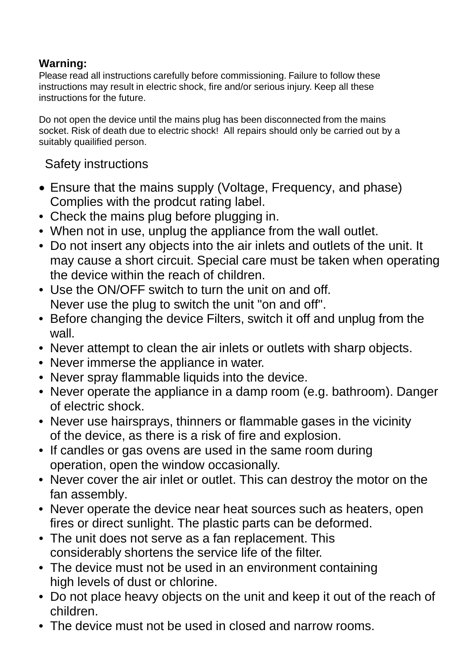# **Warning:**

Please read all instructions carefully before commissioning. Failure to follow these instructions may result in electric shock, fire and/or serious injury. Keep all these instructions for the future.

Do not open the device until the mains plug has been disconnected from the mains socket. Risk of death due to electric shock! All repairs should only be carried out by a suitably quailified person.

Safety instructions

- Ensure that the mains supply (Voltage, Frequency, and phase) Complies with the prodcut rating label.
- Check the mains plug before plugging in.
- When not in use, unplug the appliance from the wall outlet.
- Do not insert any objects into the air inlets and outlets of the unit. It may cause a short circuit. Special care must be taken when operating the device within the reach of children.
- Use the ON/OFF switch to turn the unit on and off. Never use the plug to switch the unit "on and off".
- Before changing the device Filters, switch it off and unplug from the wall.
- Never attempt to clean the air inlets or outlets with sharp objects.
- Never immerse the appliance in water.
- Never spray flammable liquids into the device.
- Never operate the appliance in a damp room (e.g. bathroom). Danger of electric shock.
- Never use hairsprays, thinners or flammable gases in the vicinity of the device, as there is a risk of fire and explosion.
- If candles or gas ovens are used in the same room during operation, open the window occasionally.
- Never cover the air inlet or outlet. This can destroy the motor on the fan assembly.
- Never operate the device near heat sources such as heaters, open fires or direct sunlight. The plastic parts can be deformed.
- The unit does not serve as a fan replacement. This considerably shortens the service life of the filter.
- The device must not be used in an environment containing high levels of dust or chlorine.
- Do not place heavy objects on the unit and keep it out of the reach of children.
- The device must not be used in closed and narrow rooms.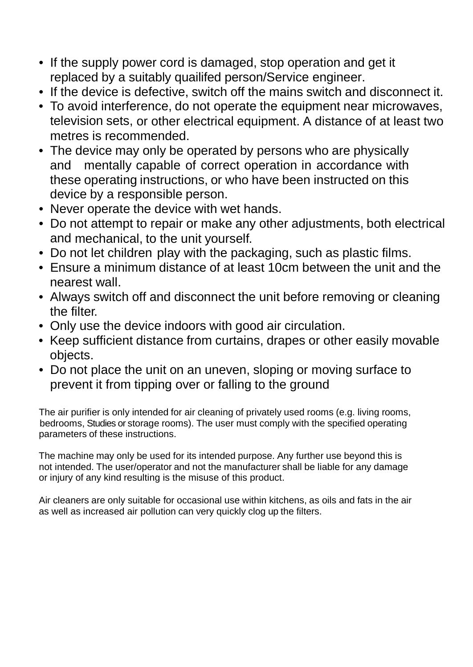- If the supply power cord is damaged, stop operation and get it replaced by a suitably quailifed person/Service engineer.
- If the device is defective, switch off the mains switch and disconnect it.
- To avoid interference, do not operate the equipment near microwaves, television sets, or other electrical equipment. A distance of at least two metres is recommended.
- The device may only be operated by persons who are physically and mentally capable of correct operation in accordance with these operating instructions, or who have been instructed on this device by a responsible person.
- Never operate the device with wet hands.
- Do not attempt to repair or make any other adjustments, both electrical and mechanical, to the unit yourself.
- Do not let children play with the packaging, such as plastic films.
- Ensure a minimum distance of at least 10cm between the unit and the nearest wall.
- Always switch off and disconnect the unit before removing or cleaning the filter.
- Only use the device indoors with good air circulation.
- Keep sufficient distance from curtains, drapes or other easily movable objects.
- Do not place the unit on an uneven, sloping or moving surface to prevent it from tipping over or falling to the ground

The air purifier is only intended for air cleaning of privately used rooms (e.g. living rooms, bedrooms, Studies or storage rooms). The user must comply with the specified operating parameters of these instructions.

The machine may only be used for its intended purpose. Any further use beyond this is not intended. The user/operator and not the manufacturer shall be liable for any damage or injury of any kind resulting is the misuse of this product.

Air cleaners are only suitable for occasional use within kitchens, as oils and fats in the air as well as increased air pollution can very quickly clog up the filters.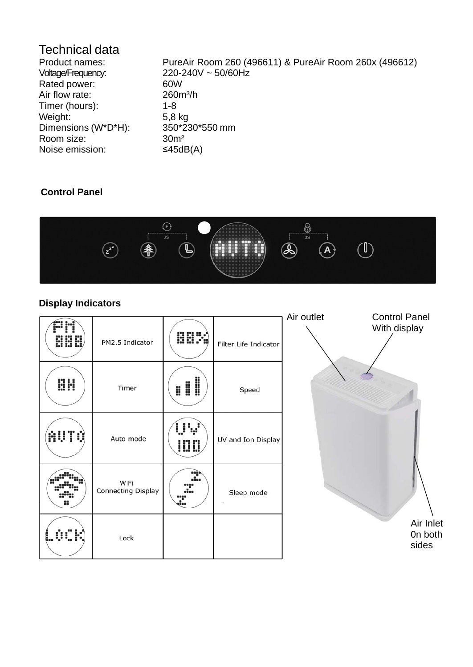# Technical data<br>Product names:

Rated power: 60W<br>Air flow rate: 260m<sup>3</sup>/h Air flow rate: 260<br>Timer (hours): 1-8 Timer (hours): Weight: 5,8 kg<br>Dimensions (W\*D\*H): 350\*230\*550 mm Dimensions (W\*D\*H): Room size: 30m<sup>2</sup> Noise emission: ≤45dB(A)

Product names: PureAir Room 260 (496611) & PureAir Room 260x (496612)<br>Voltage/Frequency: 220-240V ~ 50/60Hz  $220-240V ~ 50/60Hz$ <br>60W

# **Control Panel**



# **Display Indicators**

| õooõ<br><b>HHH</b> | PM2.5 Indicator            | <b>HHM</b>  | Filter Life Indicator | Air outlet | <b>Control Panel</b><br>With display |
|--------------------|----------------------------|-------------|-----------------------|------------|--------------------------------------|
| <b>BH</b>          | Timer                      | <b>:!!!</b> | Speed                 |            |                                      |
| AUTO               | Auto mode                  | <u>inn</u>  | UV and Ion Display    |            |                                      |
| 8                  | WiFi<br>Connecting Display | 2<br>÷<br>3 | Sleep mode            |            |                                      |
| (SCR)              | Lock                       |             |                       |            | Air Inlet<br>On both<br>sides        |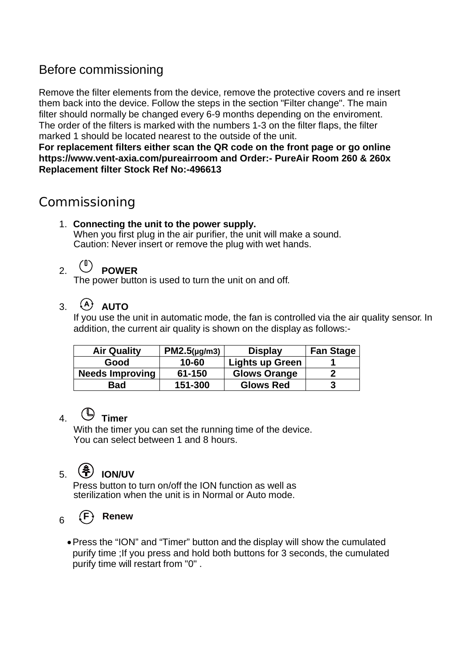# Before commissioning

Remove the filter elements from the device, remove the protective covers and re insert them back into the device. Follow the steps in the section "Filter change". The main filter should normally be changed every 6-9 months depending on the enviroment. The order of the filters is marked with the numbers 1-3 on the filter flaps, the filter marked 1 should be located nearest to the outside of the unit.

**For replacement filters either scan the QR code on the front page or go online <https://www.vent-axia.com/pureairroom> and Order:- PureAir Room 260 & 260x Replacement filter Stock Ref No:-496613**

# Commissioning

1. **Connecting the unit to the power supply.** When you first plug in the air purifier, the unit will make a sound. Caution: Never insert or remove the plug with wet hands.

# 2. **POWER**

The power button is used to turn the unit on and off.

# $3.$   $(A)$  **AUTO**

If you use the unit in automatic mode, the fan is controlled via the air quality sensor. In addition, the current air quality is shown on the display as follows:-

| <b>Air Quality</b>     | $PM2.5(\mu g/m3)$ | <b>Display</b>      | <b>Fan Stage</b> |
|------------------------|-------------------|---------------------|------------------|
| Good                   | $10 - 60$         | Lights up Green     |                  |
| <b>Needs Improving</b> | 61-150            | <b>Glows Orange</b> |                  |
| Bad                    | 151-300           | <b>Glows Red</b>    | 3                |

# 4. **Timer**

With the timer you can set the running time of the device. You can select between 1 and 8 hours.

# 5. **ION/UV**

Press button to turn on/off the ION function as well as sterilization when the unit is in Normal or Auto mode.

# $_{6}$   $(F)$  Renew

•Press the "ION" and "Timer" button and the display will show the cumulated purify time ;If you press and hold both buttons for 3 seconds, the cumulated purify time will restart from "0" .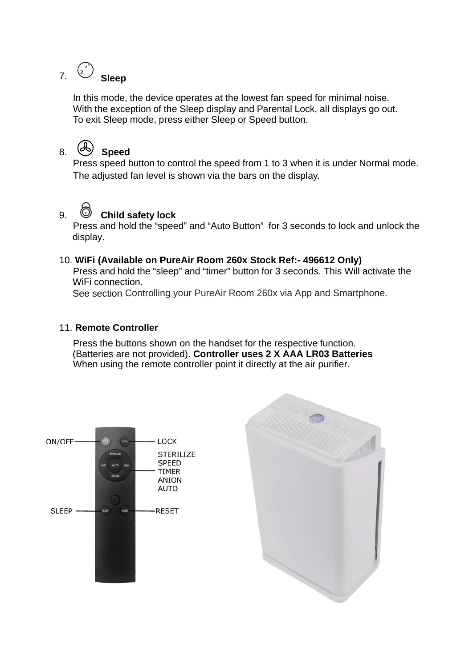#### **z z** 7. **<sup>Z</sup> Sleep**

In this mode, the device operates at the lowest fan speed for minimal noise. With the exception of the Sleep display and Parental Lock, all displays go out. To exit Sleep mode, press either Sleep or Speed button.

# 8. **Speed**

Press speed button to control the speed from 1 to 3 when it is under Normal mode. The adjusted fan level is shown via the bars on the display.

# 9. **Child safety lock**

Press and hold the "speed" and "Auto Button" for 3 seconds to lock and unlock the display.

## 10. **WiFi (Available on PureAir Room 260x Stock Ref:- 496612 Only)**

Press and hold the "sleep" and "timer" button for 3 seconds. This Will activate the WiFi connection.

See section Controlling your PureAir Room 260x via App and Smartphone.

## 11. **Remote Controller**

Press the buttons shown on the handset for the respective function. (Batteries are not provided). **Controller uses 2 X AAA LR03 Batteries** When using the remote controller point it directly at the air purifier.



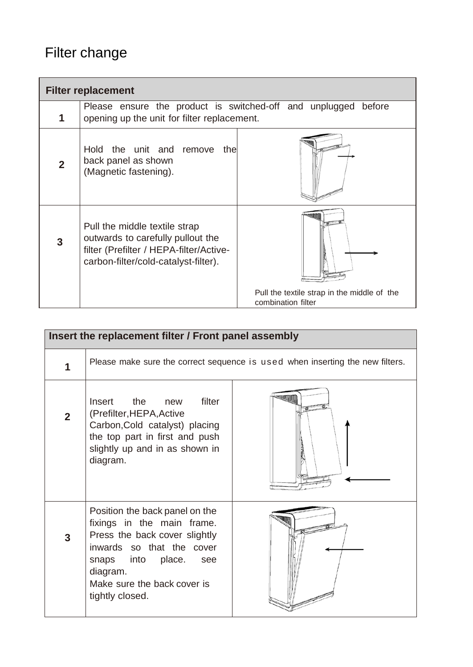# Filter change

| <b>Filter replacement</b> |                                                                                                                                                       |                                                                   |  |  |
|---------------------------|-------------------------------------------------------------------------------------------------------------------------------------------------------|-------------------------------------------------------------------|--|--|
| 1                         | Please ensure the product is switched-off and unplugged<br>before<br>opening up the unit for filter replacement.                                      |                                                                   |  |  |
| $\overline{2}$            | Hold the unit and remove<br>thel<br>back panel as shown<br>(Magnetic fastening).                                                                      |                                                                   |  |  |
| 3                         | Pull the middle textile strap<br>outwards to carefully pullout the<br>filter (Prefilter / HEPA-filter/Active-<br>carbon-filter/cold-catalyst-filter). |                                                                   |  |  |
|                           |                                                                                                                                                       | Pull the textile strap in the middle of the<br>combination filter |  |  |

| Insert the replacement filter / Front panel assembly |                                                                                                                                                                                                                      |           |  |  |
|------------------------------------------------------|----------------------------------------------------------------------------------------------------------------------------------------------------------------------------------------------------------------------|-----------|--|--|
| 1                                                    | Please make sure the correct sequence is used when inserting the new filters.                                                                                                                                        |           |  |  |
| $\overline{2}$                                       | Insert the<br>filter<br>new<br>(Prefilter, HEPA, Active<br>Carbon, Cold catalyst) placing<br>the top part in first and push<br>slightly up and in as shown in<br>diagram.                                            | <b>WW</b> |  |  |
| 3                                                    | Position the back panel on the<br>fixings in the main frame.<br>Press the back cover slightly<br>inwards so that the cover<br>snaps into place.<br>see<br>diagram.<br>Make sure the back cover is<br>tightly closed. |           |  |  |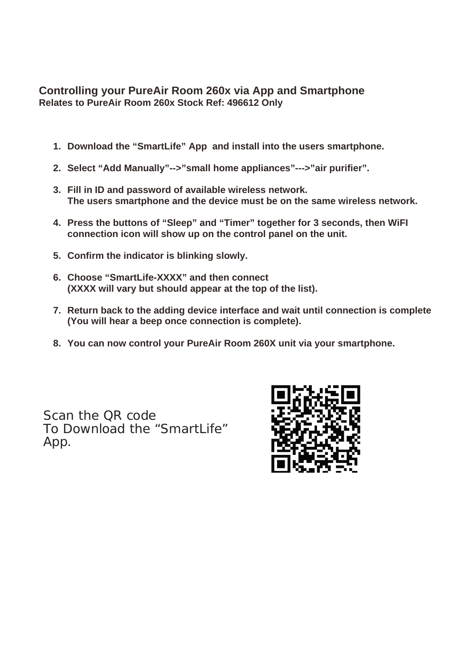# **Controlling your PureAir Room 260x via App and Smartphone Relates to PureAir Room 260x Stock Ref: 496612 Only**

- **1. Download the "SmartLife" App and install into the users smartphone.**
- **2. Select "Add Manually"-->"small home appliances"--->"air purifier".**
- **3. Fill in ID and password of available wireless network. The users smartphone and the device must be on the same wireless network.**
- **4. Press the buttons of "Sleep" and "Timer" together for 3 seconds, then WiFI connection icon will show up on the control panel on the unit.**
- **5. Confirm the indicator is blinking slowly.**
- **6. Choose "SmartLife-XXXX" and then connect (XXXX will vary but should appear at the top of the list).**
- **7. Return back to the adding device interface and wait until connection is complete (You will hear a beep once connection is complete).**
- **8. You can now control your PureAir Room 260X unit via your smartphone.**

Scan the QR code To Download the "SmartLife" App.

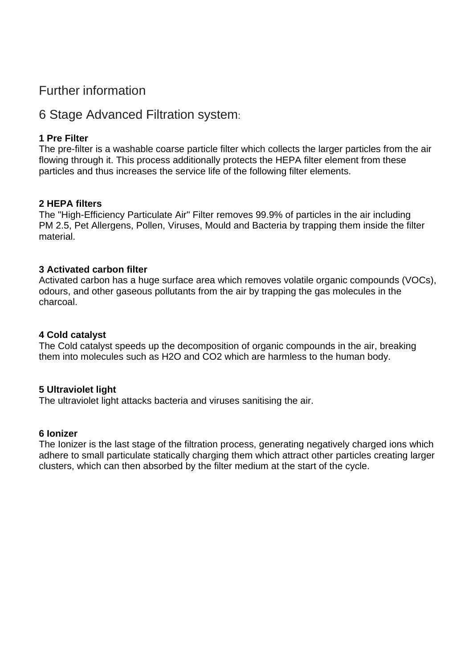# Further information

# 6 Stage Advanced Filtration system:

## **1 Pre Filter**

The pre-filter is a washable coarse particle filter which collects the larger particles from the air flowing through it. This process additionally protects the HEPA filter element from these particles and thus increases the service life of the following filter elements.

## **2 HEPA filters**

The "High-Efficiency Particulate Air" Filter removes 99.9% of particles in the air including PM 2.5, Pet Allergens, Pollen, Viruses, Mould and Bacteria by trapping them inside the filter material.

## **3 Activated carbon filter**

Activated carbon has a huge surface area which removes volatile organic compounds (VOCs), odours, and other gaseous pollutants from the air by trapping the gas molecules in the charcoal.

#### **4 Cold catalyst**

The Cold catalyst speeds up the decomposition of organic compounds in the air, breaking them into molecules such as H2O and CO2 which are harmless to the human body.

#### **5 Ultraviolet light**

The ultraviolet light attacks bacteria and viruses sanitising the air.

#### **6 Ionizer**

The Ionizer is the last stage of the filtration process, generating negatively charged ions which adhere to small particulate statically charging them which attract other particles creating larger clusters, which can then absorbed by the filter medium at the start of the cycle.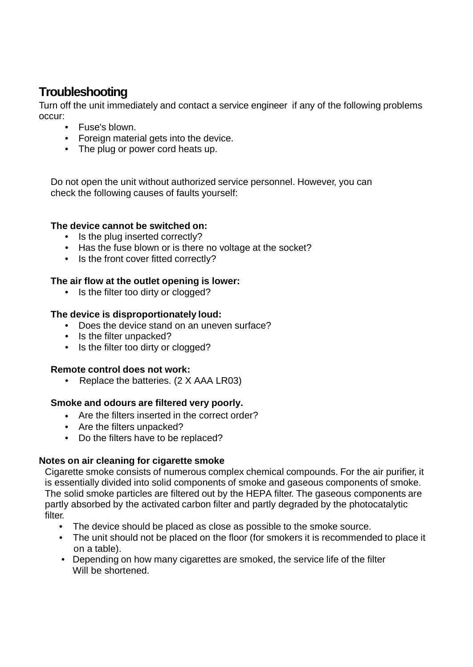# **Troubleshooting**

Turn off the unit immediately and contact a service engineer if any of the following problems occur:

- Fuse's blown.
- Foreign material gets into the device.
- The plug or power cord heats up.

Do not open the unit without authorized service personnel. However, you can check the following causes of faults yourself:

#### **The device cannot be switched on:**

- Is the plug inserted correctly?
- Has the fuse blown or is there no voltage at the socket?
- Is the front cover fitted correctly?

## **The air flow at the outlet opening is lower:**

• Is the filter too dirty or clogged?

## **The device is disproportionately loud:**

- Does the device stand on an uneven surface?
- Is the filter unpacked?
- Is the filter too dirty or clogged?

#### **Remote control does not work:**

• Replace the batteries. (2 X AAA LR03)

#### **Smoke and odours are filtered very poorly.**

- Are the filters inserted in the correct order?
- Are the filters unpacked?
- Do the filters have to be replaced?

#### **Notes on air cleaning for cigarette smoke**

Cigarette smoke consists of numerous complex chemical compounds. For the air purifier, it is essentially divided into solid components of smoke and gaseous components of smoke. The solid smoke particles are filtered out by the HEPA filter. The gaseous components are partly absorbed by the activated carbon filter and partly degraded by the photocatalytic filter.

- The device should be placed as close as possible to the smoke source.
- The unit should not be placed on the floor (for smokers it is recommended to place it on a table).
- Depending on how many cigarettes are smoked, the service life of the filter Will be shortened.